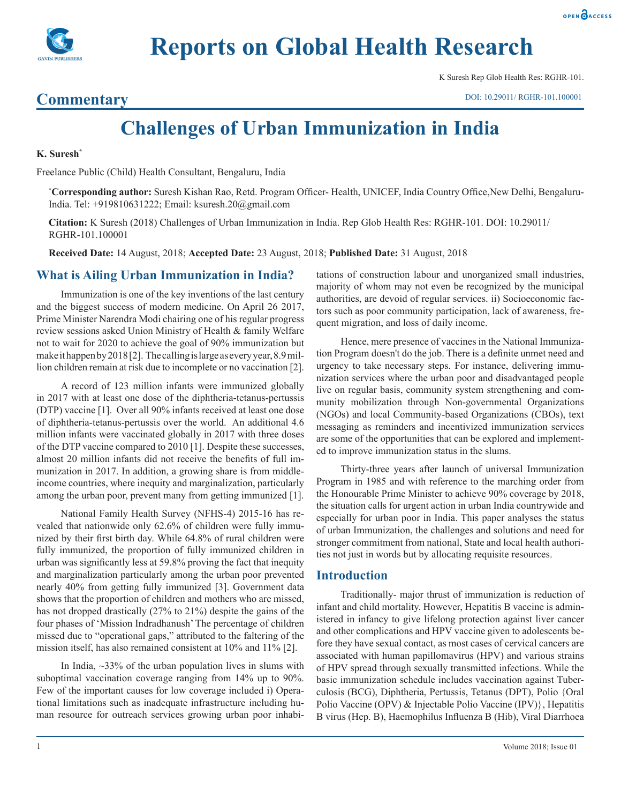

K Suresh Rep Glob Health Res: RGHR-101.

# **Commentary**

DOI: 10.29011/ RGHR-101.100001

# **Challenges of Urban Immunization in India**

#### **K. Suresh\***

Freelance Public (Child) Health Consultant, Bengaluru, India

**\* Corresponding author:** Suresh Kishan Rao, Retd. Program Officer- Health, UNICEF, India Country Office,New Delhi, Bengaluru-India. Tel: +919810631222; Email: ksuresh.20@gmail.com

**Citation:** K Suresh (2018) Challenges of Urban Immunization in India. Rep Glob Health Res: RGHR-101. DOI: 10.29011/ RGHR-101.100001

**Received Date:** 14 August, 2018; **Accepted Date:** 23 August, 2018; **Published Date:** 31 August, 2018

# **What is Ailing Urban Immunization in India?**

Immunization is one of the key inventions of the last century and the biggest success of modern medicine. On April 26 2017, Prime Minister Narendra Modi chairing one of his regular progress review sessions asked Union Ministry of Health & family Welfare not to wait for 2020 to achieve the goal of 90% immunization but make it happen by 2018 [2]. The calling is large as every year, 8.9 million children remain at risk due to incomplete or no vaccination [2].

A record of 123 million infants were immunized globally in 2017 with at least one dose of the diphtheria-tetanus-pertussis (DTP) vaccine [1]. Over all 90% infants received at least one dose of diphtheria-tetanus-pertussis over the world. An additional 4.6 million infants were vaccinated globally in 2017 with three doses of the DTP vaccine compared to 2010 [1]. Despite these successes, almost 20 million infants did not receive the benefits of full immunization in 2017. In addition, a growing share is from middleincome countries, where inequity and marginalization, particularly among the urban poor, prevent many from getting immunized [1].

National Family Health Survey (NFHS-4) 2015-16 has revealed that nationwide only 62.6% of children were fully immunized by their first birth day. While 64.8% of rural children were fully immunized, the proportion of fully immunized children in urban was significantly less at 59.8% proving the fact that inequity and marginalization particularly among the urban poor prevented nearly 40% from getting fully immunized [3]. Government data shows that the proportion of children and mothers who are missed, has not dropped drastically (27% to 21%) despite the gains of the four phases of 'Mission Indradhanush' The percentage of children missed due to "operational gaps," attributed to the faltering of the mission itself, has also remained consistent at 10% and 11% [2].

In India,  $\sim$ 33% of the urban population lives in slums with suboptimal vaccination coverage ranging from 14% up to 90%. Few of the important causes for low coverage included i) Operational limitations such as inadequate infrastructure including human resource for outreach services growing urban poor inhabitations of construction labour and unorganized small industries, majority of whom may not even be recognized by the municipal authorities, are devoid of regular services. ii) Socioeconomic factors such as poor community participation, lack of awareness, frequent migration, and loss of daily income.

Hence, mere presence of vaccines in the National Immunization Program doesn't do the job. There is a definite unmet need and urgency to take necessary steps. For instance, delivering immunization services where the urban poor and disadvantaged people live on regular basis, community system strengthening and community mobilization through Non-governmental Organizations (NGOs) and local Community-based Organizations (CBOs), text messaging as reminders and incentivized immunization services are some of the opportunities that can be explored and implemented to improve immunization status in the slums.

Thirty-three years after launch of universal Immunization Program in 1985 and with reference to the marching order from the Honourable Prime Minister to achieve 90% coverage by 2018, the situation calls for urgent action in urban India countrywide and especially for urban poor in India. This paper analyses the status of urban Immunization, the challenges and solutions and need for stronger commitment from national, State and local health authorities not just in words but by allocating requisite resources.

# **Introduction**

Traditionally- major thrust of immunization is reduction of infant and child mortality. However, Hepatitis B vaccine is administered in infancy to give lifelong protection against liver cancer and other complications and HPV vaccine given to adolescents before they have sexual contact, as most cases of cervical cancers are associated with human papillomavirus (HPV) and various strains of HPV spread through sexually transmitted infections. While the basic immunization schedule includes vaccination against Tuberculosis (BCG), Diphtheria, Pertussis, Tetanus (DPT), Polio {Oral Polio Vaccine (OPV) & Injectable Polio Vaccine (IPV)}, Hepatitis B virus (Hep. B), Haemophilus Influenza B (Hib), Viral Diarrhoea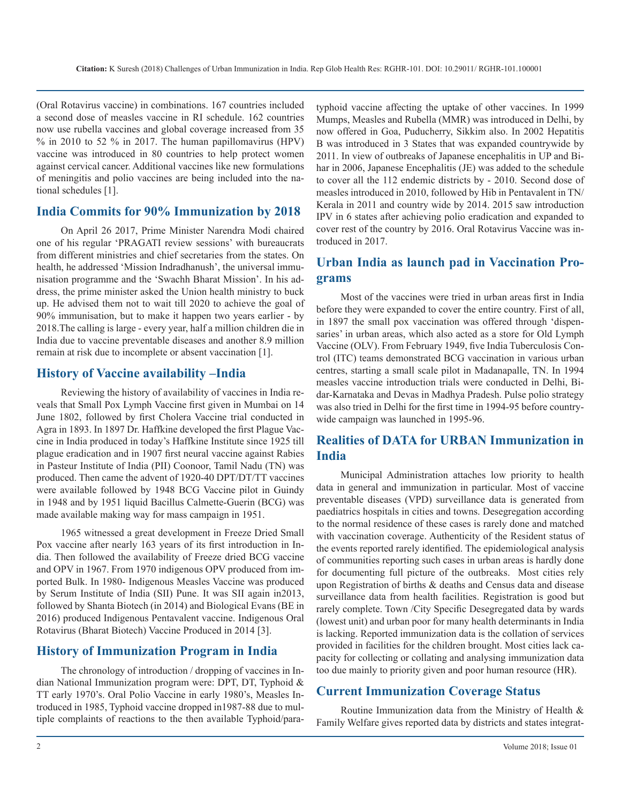(Oral Rotavirus vaccine) in combinations. 167 countries included a second dose of measles vaccine in RI schedule. 162 countries now use rubella vaccines and global coverage increased from 35 % in 2010 to 52 % in 2017. The human papillomavirus (HPV) vaccine was introduced in 80 countries to help protect women against cervical cancer. Additional vaccines like new formulations of meningitis and polio vaccines are being included into the national schedules [1].

# **India Commits for 90% Immunization by 2018**

On April 26 2017, Prime Minister Narendra Modi chaired one of his regular 'PRAGATI review sessions' with bureaucrats from different ministries and chief secretaries from the states. On health, he addressed 'Mission Indradhanush', the universal immunisation programme and the 'Swachh Bharat Mission'. In his address, the prime minister asked the Union health ministry to buck up. He advised them not to wait till 2020 to achieve the goal of 90% immunisation, but to make it happen two years earlier - by 2018.The calling is large - every year, half a million children die in India due to vaccine preventable diseases and another 8.9 million remain at risk due to incomplete or absent vaccination [1].

# **History of Vaccine availability –India**

Reviewing the history of availability of vaccines in India reveals that Small Pox Lymph Vaccine first given in Mumbai on 14 June 1802, followed by first Cholera Vaccine trial conducted in Agra in 1893. In 1897 Dr. Haffkine developed the first Plague Vaccine in India produced in today's Haffkine Institute since 1925 till plague eradication and in 1907 first neural vaccine against Rabies in Pasteur Institute of India (PII) Coonoor, Tamil Nadu (TN) was produced. Then came the advent of 1920-40 DPT/DT/TT vaccines were available followed by 1948 BCG Vaccine pilot in Guindy in 1948 and by 1951 liquid Bacillus Calmette-Guerin (BCG) was made available making way for mass campaign in 1951.

1965 witnessed a great development in Freeze Dried Small Pox vaccine after nearly 163 years of its first introduction in India. Then followed the availability of Freeze dried BCG vaccine and OPV in 1967. From 1970 indigenous OPV produced from imported Bulk. In 1980- Indigenous Measles Vaccine was produced by Serum Institute of India (SII) Pune. It was SII again in2013, followed by Shanta Biotech (in 2014) and Biological Evans (BE in 2016) produced Indigenous Pentavalent vaccine. Indigenous Oral Rotavirus (Bharat Biotech) Vaccine Produced in 2014 [3].

# **History of Immunization Program in India**

The chronology of introduction / dropping of vaccines in Indian National Immunization program were: DPT, DT, Typhoid & TT early 1970's. Oral Polio Vaccine in early 1980's, Measles Introduced in 1985, Typhoid vaccine dropped in1987-88 due to multiple complaints of reactions to the then available Typhoid/para-

typhoid vaccine affecting the uptake of other vaccines. In 1999 Mumps, Measles and Rubella (MMR) was introduced in Delhi, by now offered in Goa, Puducherry, Sikkim also. In 2002 Hepatitis B was introduced in 3 States that was expanded countrywide by 2011. In view of outbreaks of Japanese encephalitis in UP and Bihar in 2006, Japanese Encephalitis (JE) was added to the schedule to cover all the 112 endemic districts by - 2010. Second dose of measles introduced in 2010, followed by Hib in Pentavalent in TN/ Kerala in 2011 and country wide by 2014. 2015 saw introduction IPV in 6 states after achieving polio eradication and expanded to cover rest of the country by 2016. Oral Rotavirus Vaccine was introduced in 2017.

# **Urban India as launch pad in Vaccination Programs**

Most of the vaccines were tried in urban areas first in India before they were expanded to cover the entire country. First of all, in 1897 the small pox vaccination was offered through 'dispensaries' in urban areas, which also acted as a store for Old Lymph Vaccine (OLV). From February 1949, five India Tuberculosis Control (ITC) teams demonstrated BCG vaccination in various urban centres, starting a small scale pilot in Madanapalle, TN. In 1994 measles vaccine introduction trials were conducted in Delhi, Bidar-Karnataka and Devas in Madhya Pradesh. Pulse polio strategy was also tried in Delhi for the first time in 1994-95 before countrywide campaign was launched in 1995-96.

# **Realities of DATA for URBAN Immunization in India**

Municipal Administration attaches low priority to health data in general and immunization in particular. Most of vaccine preventable diseases (VPD) surveillance data is generated from paediatrics hospitals in cities and towns. Desegregation according to the normal residence of these cases is rarely done and matched with vaccination coverage. Authenticity of the Resident status of the events reported rarely identified. The epidemiological analysis of communities reporting such cases in urban areas is hardly done for documenting full picture of the outbreaks. Most cities rely upon Registration of births & deaths and Census data and disease surveillance data from health facilities. Registration is good but rarely complete. Town /City Specific Desegregated data by wards (lowest unit) and urban poor for many health determinants in India is lacking. Reported immunization data is the collation of services provided in facilities for the children brought. Most cities lack capacity for collecting or collating and analysing immunization data too due mainly to priority given and poor human resource (HR).

# **Current Immunization Coverage Status**

Routine Immunization data from the Ministry of Health & Family Welfare gives reported data by districts and states integrat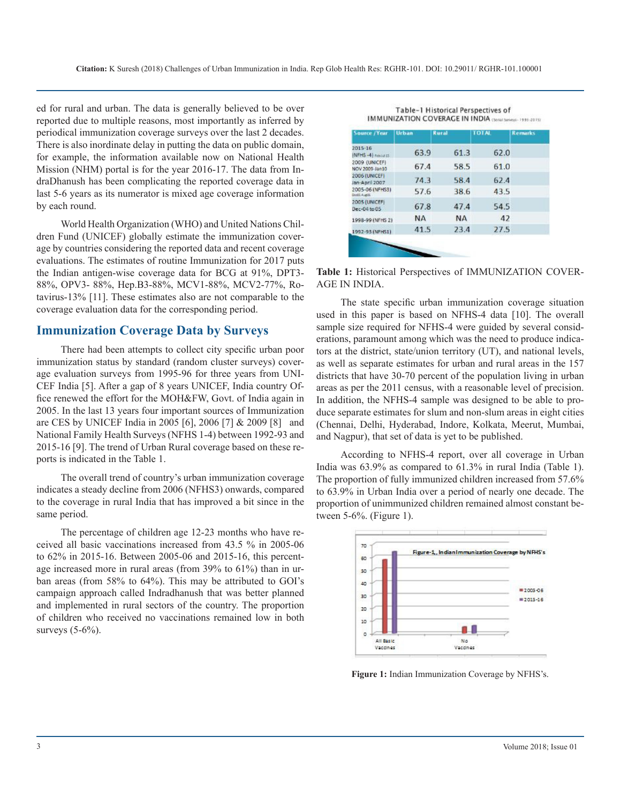ed for rural and urban. The data is generally believed to be over reported due to multiple reasons, most importantly as inferred by periodical immunization coverage surveys over the last 2 decades. There is also inordinate delay in putting the data on public domain, for example, the information available now on National Health Mission (NHM) portal is for the year 2016-17. The data from IndraDhanush has been complicating the reported coverage data in last 5-6 years as its numerator is mixed age coverage information by each round.

World Health Organization (WHO) and United Nations Children Fund (UNICEF) globally estimate the immunization coverage by countries considering the reported data and recent coverage evaluations. The estimates of routine Immunization for 2017 puts the Indian antigen-wise coverage data for BCG at 91%, DPT3- 88%, OPV3- 88%, Hep.B3-88%, MCV1-88%, MCV2-77%, Rotavirus-13% [11]. These estimates also are not comparable to the coverage evaluation data for the corresponding period.

# **Immunization Coverage Data by Surveys**

There had been attempts to collect city specific urban poor immunization status by standard (random cluster surveys) coverage evaluation surveys from 1995-96 for three years from UNI-CEF India [5]. After a gap of 8 years UNICEF, India country Office renewed the effort for the MOH&FW, Govt. of India again in 2005. In the last 13 years four important sources of Immunization are CES by UNICEF India in 2005 [6], 2006 [7] & 2009 [8] and National Family Health Surveys (NFHS 1-4) between 1992-93 and 2015-16 [9]. The trend of Urban Rural coverage based on these reports is indicated in the Table 1.

The overall trend of country's urban immunization coverage indicates a steady decline from 2006 (NFHS3) onwards, compared to the coverage in rural India that has improved a bit since in the same period.

The percentage of children age 12-23 months who have received all basic vaccinations increased from 43.5 % in 2005-06 to 62% in 2015-16. Between 2005-06 and 2015-16, this percentage increased more in rural areas (from 39% to 61%) than in urban areas (from 58% to 64%). This may be attributed to GOI's campaign approach called Indradhanush that was better planned and implemented in rural sectors of the country. The proportion of children who received no vaccinations remained low in both surveys (5-6%).

| <b>Source /Year</b>             | Urban     | Rural     | <b>TOTAL</b> | <b>Remarks</b> |
|---------------------------------|-----------|-----------|--------------|----------------|
| 2015-16<br>NFHS-4 rebiul 15     | 63.9      | 61.3      | 62.0         |                |
| 2009 (UNICEF)<br>NOV 2009-Jan10 | 67.4      | 58.5      | 61.0         |                |
| 2006 (UNICEF)<br>Jan-April 2007 | 74.3      | 58.4      | 62.4         |                |
| 2005-06 (NFHSS)<br>DedG AugOE   | 57.6      | 38.6      | 43.5         |                |
| 2005 (UNICEF)<br>Dec-04 to 05   | 67.8      | 47.4      | 54.5         |                |
| 1998-99 (NFHS 2)                | <b>NA</b> | <b>NA</b> | 42           |                |
| 1992-93 (NFHS1)                 | 41.5      | 23.4      | 27.5         |                |

Table-1 Historical Perspectives of IMMUNIZATION COVERAGE IN INDIA (Senal Surveys: 1995-2015)

**Table 1:** Historical Perspectives of IMMUNIZATION COVER-AGE IN INDIA.

The state specific urban immunization coverage situation used in this paper is based on NFHS-4 data [10]. The overall sample size required for NFHS-4 were guided by several considerations, paramount among which was the need to produce indicators at the district, state/union territory (UT), and national levels, as well as separate estimates for urban and rural areas in the 157 districts that have 30-70 percent of the population living in urban areas as per the 2011 census, with a reasonable level of precision. In addition, the NFHS-4 sample was designed to be able to produce separate estimates for slum and non-slum areas in eight cities (Chennai, Delhi, Hyderabad, Indore, Kolkata, Meerut, Mumbai, and Nagpur), that set of data is yet to be published.

According to NFHS-4 report, over all coverage in Urban India was 63.9% as compared to 61.3% in rural India (Table 1). The proportion of fully immunized children increased from 57.6% to 63.9% in Urban India over a period of nearly one decade. The proportion of unimmunized children remained almost constant between 5-6%. (Figure 1).



**Figure 1:** Indian Immunization Coverage by NFHS's.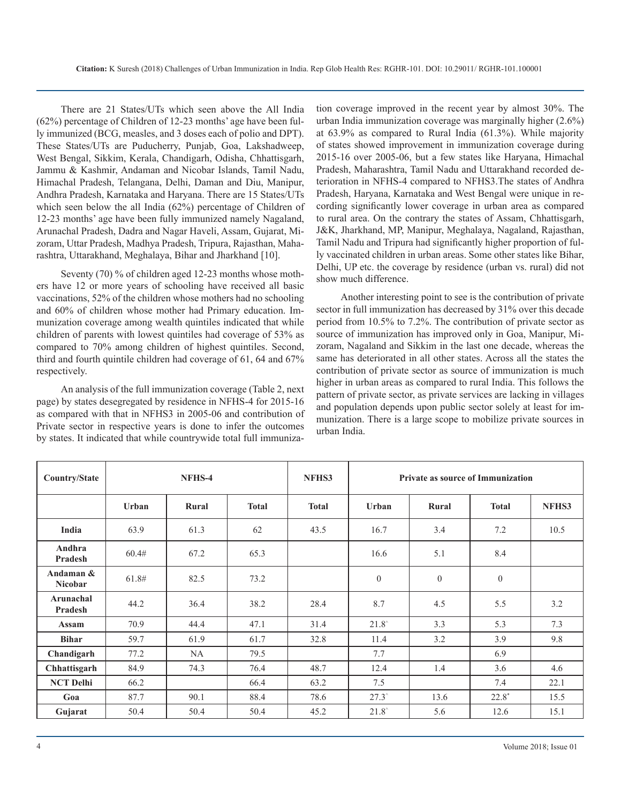There are 21 States/UTs which seen above the All India (62%) percentage of Children of 12-23 months' age have been fully immunized (BCG, measles, and 3 doses each of polio and DPT). These States/UTs are Puducherry, Punjab, Goa, Lakshadweep, West Bengal, Sikkim, Kerala, Chandigarh, Odisha, Chhattisgarh, Jammu & Kashmir, Andaman and Nicobar Islands, Tamil Nadu, Himachal Pradesh, Telangana, Delhi, Daman and Diu, Manipur, Andhra Pradesh, Karnataka and Haryana. There are 15 States/UTs which seen below the all India (62%) percentage of Children of 12-23 months' age have been fully immunized namely Nagaland, Arunachal Pradesh, Dadra and Nagar Haveli, Assam, Gujarat, Mizoram, Uttar Pradesh, Madhya Pradesh, Tripura, Rajasthan, Maharashtra, Uttarakhand, Meghalaya, Bihar and Jharkhand [10].

Seventy (70) % of children aged 12-23 months whose mothers have 12 or more years of schooling have received all basic vaccinations, 52% of the children whose mothers had no schooling and 60% of children whose mother had Primary education. Immunization coverage among wealth quintiles indicated that while children of parents with lowest quintiles had coverage of 53% as compared to 70% among children of highest quintiles. Second, third and fourth quintile children had coverage of 61, 64 and 67% respectively.

An analysis of the full immunization coverage (Table 2, next page) by states desegregated by residence in NFHS-4 for 2015-16 as compared with that in NFHS3 in 2005-06 and contribution of Private sector in respective years is done to infer the outcomes by states. It indicated that while countrywide total full immuniza-

tion coverage improved in the recent year by almost 30%. The urban India immunization coverage was marginally higher (2.6%) at 63.9% as compared to Rural India (61.3%). While majority of states showed improvement in immunization coverage during 2015-16 over 2005-06, but a few states like Haryana, Himachal Pradesh, Maharashtra, Tamil Nadu and Uttarakhand recorded deterioration in NFHS-4 compared to NFHS3.The states of Andhra Pradesh, Haryana, Karnataka and West Bengal were unique in recording significantly lower coverage in urban area as compared to rural area. On the contrary the states of Assam, Chhattisgarh, J&K, Jharkhand, MP, Manipur, Meghalaya, Nagaland, Rajasthan, Tamil Nadu and Tripura had significantly higher proportion of fully vaccinated children in urban areas. Some other states like Bihar, Delhi, UP etc. the coverage by residence (urban vs. rural) did not show much difference.

Another interesting point to see is the contribution of private sector in full immunization has decreased by 31% over this decade period from 10.5% to 7.2%. The contribution of private sector as source of immunization has improved only in Goa, Manipur, Mizoram, Nagaland and Sikkim in the last one decade, whereas the same has deteriorated in all other states. Across all the states the contribution of private sector as source of immunization is much higher in urban areas as compared to rural India. This follows the pattern of private sector, as private services are lacking in villages and population depends upon public sector solely at least for immunization. There is a large scope to mobilize private sources in urban India.

| Country/State               | NFHS-4 |       |              | NFHS3        | Private as source of Immunization |                |                  |       |
|-----------------------------|--------|-------|--------------|--------------|-----------------------------------|----------------|------------------|-------|
|                             | Urban  | Rural | <b>Total</b> | <b>Total</b> | <b>Urban</b>                      | Rural          | <b>Total</b>     | NFHS3 |
| India                       | 63.9   | 61.3  | 62           | 43.5         | 16.7                              | 3.4            | 7.2              | 10.5  |
| Andhra<br>Pradesh           | 60.4#  | 67.2  | 65.3         |              | 16.6                              | 5.1            | 8.4              |       |
| Andaman &<br><b>Nicobar</b> | 61.8#  | 82.5  | 73.2         |              | $\overline{0}$                    | $\overline{0}$ | $\boldsymbol{0}$ |       |
| Arunachal<br>Pradesh        | 44.2   | 36.4  | 38.2         | 28.4         | 8.7                               | 4.5            | 5.5              | 3.2   |
| <b>Assam</b>                | 70.9   | 44.4  | 47.1         | 31.4         | $21.8^\circ$                      | 3.3            | 5.3              | 7.3   |
| <b>Bihar</b>                | 59.7   | 61.9  | 61.7         | 32.8         | 11.4                              | 3.2            | 3.9              | 9.8   |
| Chandigarh                  | 77.2   | NA    | 79.5         |              | 7.7                               |                | 6.9              |       |
| Chhattisgarh                | 84.9   | 74.3  | 76.4         | 48.7         | 12.4                              | 1.4            | 3.6              | 4.6   |
| <b>NCT Delhi</b>            | 66.2   |       | 66.4         | 63.2         | 7.5                               |                | 7.4              | 22.1  |
| Goa                         | 87.7   | 90.1  | 88.4         | 78.6         | $27.3^{\circ}$                    | 13.6           | $22.8*$          | 15.5  |
| Gujarat                     | 50.4   | 50.4  | 50.4         | 45.2         | $21.8^\circ$                      | 5.6            | 12.6             | 15.1  |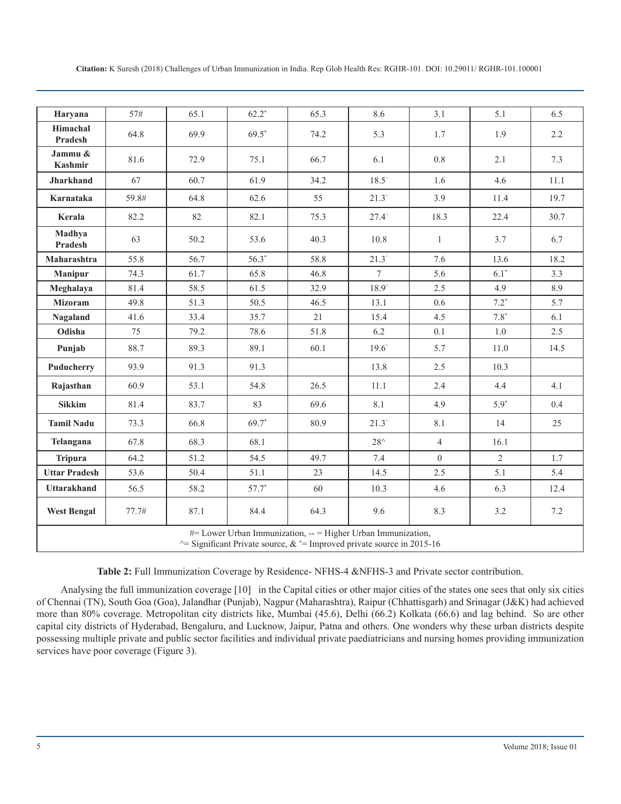| Citation: K Suresh (2018) Challenges of Urban Immunization in India. Rep Glob Health Res: RGHR-101. DOI: 10.29011/ RGHR-101.100001 |  |
|------------------------------------------------------------------------------------------------------------------------------------|--|
|------------------------------------------------------------------------------------------------------------------------------------|--|

| Haryana                                                                                                                                    | 57#   | 65.1 | $62.2*$ | 65.3 | 8.6            | 3.1            | 5.1            | 6.5  |
|--------------------------------------------------------------------------------------------------------------------------------------------|-------|------|---------|------|----------------|----------------|----------------|------|
| Himachal<br>Pradesh                                                                                                                        | 64.8  | 69.9 | $69.5*$ | 74.2 | 5.3            | 1.7            | 1.9            | 2.2  |
| Jammu &<br>Kashmir                                                                                                                         | 81.6  | 72.9 | 75.1    | 66.7 | 6.1            | 0.8            | 2.1            | 7.3  |
| <b>Jharkhand</b>                                                                                                                           | 67    | 60.7 | 61.9    | 34.2 | $18.5^{\circ}$ | 1.6            | 4.6            | 11.1 |
| Karnataka                                                                                                                                  | 59.8# | 64.8 | 62.6    | 55   | $21.3^\circ$   | 3.9            | 11.4           | 19.7 |
| Kerala                                                                                                                                     | 82.2  | 82   | 82.1    | 75.3 | $27.4^{\circ}$ | 18.3           | 22.4           | 30.7 |
| Madhya<br>Pradesh                                                                                                                          | 63    | 50.2 | 53.6    | 40.3 | 10.8           | 1              | 3.7            | 6.7  |
| Maharashtra                                                                                                                                | 55.8  | 56.7 | $56.3*$ | 58.8 | $21.3^{\circ}$ | 7.6            | 13.6           | 18.2 |
| <b>Manipur</b>                                                                                                                             | 74.3  | 61.7 | 65.8    | 46.8 | 7              | 5.6            | $6.1*$         | 3.3  |
| Meghalaya                                                                                                                                  | 81.4  | 58.5 | 61.5    | 32.9 | $18.9^\circ$   | 2.5            | 4.9            | 8.9  |
| <b>Mizoram</b>                                                                                                                             | 49.8  | 51.3 | 50.5    | 46.5 | 13.1           | 0.6            | $7.2*$         | 5.7  |
| Nagaland                                                                                                                                   | 41.6  | 33.4 | 35.7    | 21   | 15.4           | 4.5            | $7.8*$         | 6.1  |
| Odisha                                                                                                                                     | 75    | 79.2 | 78.6    | 51.8 | 6.2            | 0.1            | $1.0\,$        | 2.5  |
| Punjab                                                                                                                                     | 88.7  | 89.3 | 89.1    | 60.1 | $19.6^{\circ}$ | 5.7            | 11.0           | 14.5 |
| Puducherry                                                                                                                                 | 93.9  | 91.3 | 91.3    |      | 13.8           | 2.5            | 10.3           |      |
| Rajasthan                                                                                                                                  | 60.9  | 53.1 | 54.8    | 26.5 | 11.1           | 2.4            | 4.4            | 4.1  |
| <b>Sikkim</b>                                                                                                                              | 81.4  | 83.7 | 83      | 69.6 | 8.1            | 4.9            | $5.9*$         | 0.4  |
| <b>Tamil Nadu</b>                                                                                                                          | 73.3  | 66.8 | 69.7*   | 80.9 | $21.3^{\circ}$ | 8.1            | 14             | 25   |
| Telangana                                                                                                                                  | 67.8  | 68.3 | 68.1    |      | $28^{\wedge}$  | $\overline{4}$ | 16.1           |      |
| <b>Tripura</b>                                                                                                                             | 64.2  | 51.2 | 54.5    | 49.7 | 7.4            | $\overline{0}$ | $\overline{2}$ | 1.7  |
| <b>Uttar Pradesh</b>                                                                                                                       | 53.6  | 50.4 | 51.1    | 23   | 14.5           | 2.5            | 5.1            | 5.4  |
| Uttarakhand                                                                                                                                | 56.5  | 58.2 | $57.7*$ | 60   | 10.3           | 4.6            | 6.3            | 12.4 |
| <b>West Bengal</b>                                                                                                                         | 77.7# | 87.1 | 84.4    | 64.3 | 9.6            | 8.3            | 3.2            | 7.2  |
| #= Lower Urban Immunization, -- = Higher Urban Immunization,<br>$\sim$ Significant Private source, & *= Improved private source in 2015-16 |       |      |         |      |                |                |                |      |

**Table 2:** Full Immunization Coverage by Residence- NFHS-4 &NFHS-3 and Private sector contribution.

Analysing the full immunization coverage [10] in the Capital cities or other major cities of the states one sees that only six cities of Chennai (TN), South Goa (Goa), Jalandhar (Punjab), Nagpur (Maharashtra), Raipur (Chhattisgarh) and Srinagar (J&K) had achieved more than 80% coverage. Metropolitan city districts like, Mumbai (45.6), Delhi (66.2) Kolkata (66.6) and lag behind. So are other capital city districts of Hyderabad, Bengaluru, and Lucknow, Jaipur, Patna and others. One wonders why these urban districts despite possessing multiple private and public sector facilities and individual private paediatricians and nursing homes providing immunization services have poor coverage (Figure 3).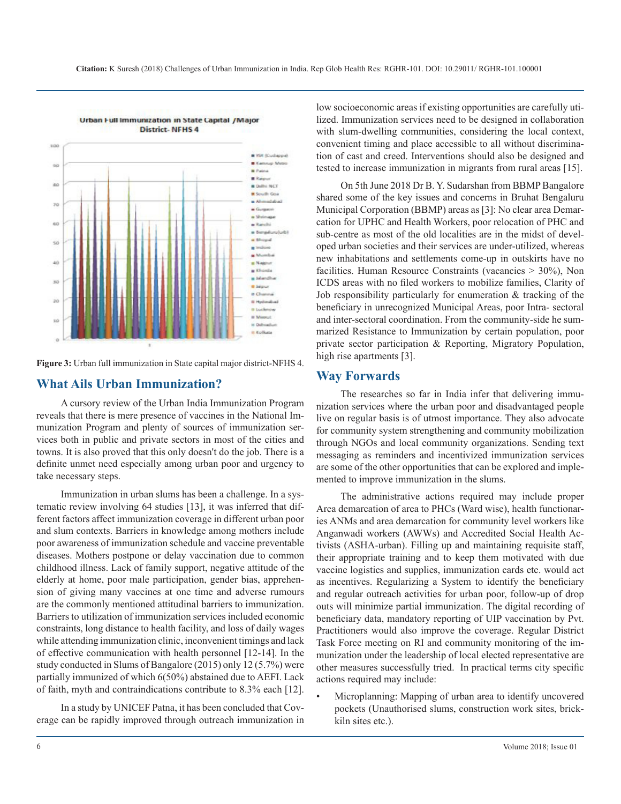

**Figure 3:** Urban full immunization in State capital major district-NFHS 4.

#### **What Ails Urban Immunization?**

A cursory review of the Urban India Immunization Program reveals that there is mere presence of vaccines in the National Immunization Program and plenty of sources of immunization services both in public and private sectors in most of the cities and towns. It is also proved that this only doesn't do the job. There is a definite unmet need especially among urban poor and urgency to take necessary steps.

Immunization in urban slums has been a challenge. In a systematic review involving 64 studies [13], it was inferred that different factors affect immunization coverage in different urban poor and slum contexts. Barriers in knowledge among mothers include poor awareness of immunization schedule and vaccine preventable diseases. Mothers postpone or delay vaccination due to common childhood illness. Lack of family support, negative attitude of the elderly at home, poor male participation, gender bias, apprehension of giving many vaccines at one time and adverse rumours are the commonly mentioned attitudinal barriers to immunization. Barriers to utilization of immunization services included economic constraints, long distance to health facility, and loss of daily wages while attending immunization clinic, inconvenient timings and lack of effective communication with health personnel [12-14]. In the study conducted in Slums of Bangalore (2015) only 12 (5.7%) were partially immunized of which 6(50%) abstained due to AEFI. Lack of faith, myth and contraindications contribute to 8.3% each [12].

In a study by UNICEF Patna, it has been concluded that Coverage can be rapidly improved through outreach immunization in low socioeconomic areas if existing opportunities are carefully utilized. Immunization services need to be designed in collaboration with slum-dwelling communities, considering the local context, convenient timing and place accessible to all without discrimination of cast and creed. Interventions should also be designed and tested to increase immunization in migrants from rural areas [15].

On 5th June 2018 Dr B. Y. Sudarshan from BBMP Bangalore shared some of the key issues and concerns in Bruhat Bengaluru Municipal Corporation (BBMP) areas as [3]: No clear area Demarcation for UPHC and Health Workers, poor relocation of PHC and sub-centre as most of the old localities are in the midst of developed urban societies and their services are under-utilized, whereas new inhabitations and settlements come-up in outskirts have no facilities. Human Resource Constraints (vacancies > 30%), Non ICDS areas with no filed workers to mobilize families, Clarity of Job responsibility particularly for enumeration & tracking of the beneficiary in unrecognized Municipal Areas, poor Intra- sectoral and inter-sectoral coordination. From the community-side he summarized Resistance to Immunization by certain population, poor private sector participation & Reporting, Migratory Population, high rise apartments [3].

#### **Way Forwards**

The researches so far in India infer that delivering immunization services where the urban poor and disadvantaged people live on regular basis is of utmost importance. They also advocate for community system strengthening and community mobilization through NGOs and local community organizations. Sending text messaging as reminders and incentivized immunization services are some of the other opportunities that can be explored and implemented to improve immunization in the slums.

The administrative actions required may include proper Area demarcation of area to PHCs (Ward wise), health functionaries ANMs and area demarcation for community level workers like Anganwadi workers (AWWs) and Accredited Social Health Activists (ASHA-urban). Filling up and maintaining requisite staff, their appropriate training and to keep them motivated with due vaccine logistics and supplies, immunization cards etc. would act as incentives. Regularizing a System to identify the beneficiary and regular outreach activities for urban poor, follow-up of drop outs will minimize partial immunization. The digital recording of beneficiary data, mandatory reporting of UIP vaccination by Pvt. Practitioners would also improve the coverage. Regular District Task Force meeting on RI and community monitoring of the immunization under the leadership of local elected representative are other measures successfully tried. In practical terms city specific actions required may include:

Microplanning: Mapping of urban area to identify uncovered pockets (Unauthorised slums, construction work sites, brickkiln sites etc.).